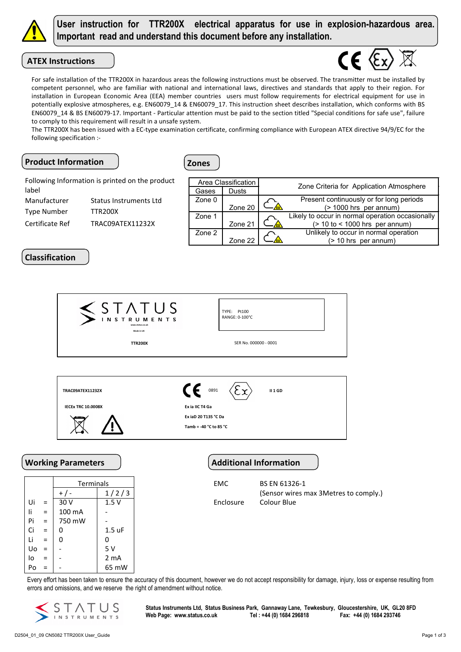

User instruction for TTR200X electrical apparatus for use in explosion-hazardous area. Important read and understand this document before any installation.

# ATEX Instructions



The TTR200X has been issued with a EC-type examination certificate, confirming compliance with European ATEX directive 94/9/EC for the following specification :-

## Product Information | View 2016



Manufacturer Status Instruments Ltd Type Number TTR200X Certificate Ref TRAC09ATEX11232X Following Information is printed on the product label

| Area Classification |         | Zone Criteria for Application Atmosphere |                                                  |  |  |  |
|---------------------|---------|------------------------------------------|--------------------------------------------------|--|--|--|
| Gases               | Dusts   |                                          |                                                  |  |  |  |
| Zone 0              |         |                                          | Present continuously or for long periods         |  |  |  |
|                     | Zone 20 |                                          | (> 1000 hrs per annum)                           |  |  |  |
| Zone 1              |         |                                          | Likely to occur in normal operation occasionally |  |  |  |
|                     | Zone 21 |                                          | $($ > 10 to < 1000 hrs per annum)                |  |  |  |
| Zone 2              |         |                                          | Unlikely to occur in normal operation            |  |  |  |
|                     | Zone 22 |                                          | (> 10 hrs per annum)                             |  |  |  |

# Classification

|     |                           |                           | S TATUS                                        |                              |                               |                                                      |  |
|-----|---------------------------|---------------------------|------------------------------------------------|------------------------------|-------------------------------|------------------------------------------------------|--|
|     |                           |                           | <b>INSTRUMENTS</b><br>ww.status.co.u           |                              | TYPE: Pt100<br>RANGE: 0-100°C |                                                      |  |
|     |                           |                           | Made in UK<br><b>TTR200X</b>                   |                              | SER No. 000000 - 0001         |                                                      |  |
|     |                           |                           |                                                |                              |                               |                                                      |  |
|     | <b>TRAC09ATEX11232X</b>   |                           |                                                | CE<br>0891<br><b>II 1 GD</b> |                               |                                                      |  |
|     | <b>IECEX TRC 10.0008X</b> |                           | Ex ia IIC T4 Ga                                |                              |                               |                                                      |  |
|     |                           |                           | Ex iaD 20 T135 °C Da<br>Tamb = -40 °C to 85 °C |                              |                               |                                                      |  |
|     |                           | <b>Working Parameters</b> |                                                |                              |                               | <b>Additional Information</b>                        |  |
|     | Terminals                 |                           |                                                |                              | BS EN 61326-1<br>EMC          |                                                      |  |
| Ui  |                           | $+$ / -<br>30 V           | 1/2/3<br>1.5V                                  | Enclosure                    |                               | (Sensor wires max 3Metres to comply.)<br>Colour Blue |  |
| li. | $\equiv$<br>$=$           | 100 mA                    |                                                |                              |                               |                                                      |  |
| Pi  | $=$                       | 750 mW                    |                                                |                              |                               |                                                      |  |
| Ci  | $=$                       | 0                         | $1.5$ uF                                       |                              |                               |                                                      |  |
| Li  | $=$                       | 0                         | 0                                              |                              |                               |                                                      |  |
| Uo  | $\equiv$                  |                           | 5 V                                            |                              |                               |                                                      |  |

Every effort has been taken to ensure the accuracy of this document, however we do not accept responsibility for damage, injury, loss or expense resulting from errors and omissions, and we reserve the right of amendment without notice.



 $\log_2 | -$  2 mA  $Po = | - | 65$  mW

> Status Instruments Ltd, Status Business Park, Gannaway Lane, Tewkesbury, Gloucestershire, UK, GL20 8FD Web Page: www.status.co.uk Tel : +44 (0) 1684 296818 Fax: +44 (0) 1684 293746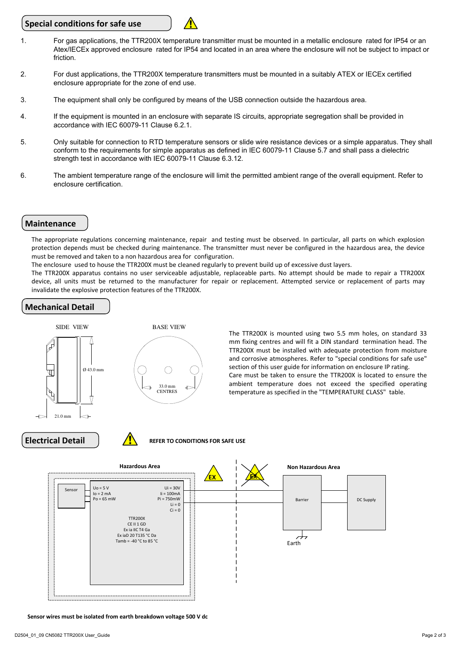### Special conditions for safe use



- 2. For dust applications, the TTR200X temperature transmitters must be mounted in a suitably ATEX or IECEx certified enclosure appropriate for the zone of end use.
- 3. The equipment shall only be configured by means of the USB connection outside the hazardous area.
- 4. If the equipment is mounted in an enclosure with separate IS circuits, appropriate segregation shall be provided in accordance with IEC 60079-11 Clause 6.2.1.
- 5. Only suitable for connection to RTD temperature sensors or slide wire resistance devices or a simple apparatus. They shall conform to the requirements for simple apparatus as defined in IEC 60079-11 Clause 5.7 and shall pass a dielectric strength test in accordance with IEC 60079-11 Clause 6.3.12.
- 6. The ambient temperature range of the enclosure will limit the permitted ambient range of the overall equipment. Refer to enclosure certification.

### **Maintenance**

The appropriate regulations concerning maintenance, repair and testing must be observed. In particular, all parts on which explosion protection depends must be checked during maintenance. The transmitter must never be configured in the hazardous area, the device must be removed and taken to a non hazardous area for configuration.

The enclosure used to house the TTR200X must be cleaned regularly to prevent build up of excessive dust layers.

The TTR200X apparatus contains no user serviceable adjustable, replaceable parts. No attempt should be made to repair a TTR200X device, all units must be returned to the manufacturer for repair or replacement. Attempted service or replacement of parts may invalidate the explosive protection features of the TTR200X.

## Mechanical Detail



The TTR200X is mounted using two 5.5 mm holes, on standard 33 mm fixing centres and will fit a DIN standard termination head. The TTR200X must be installed with adequate protection from moisture and corrosive atmospheres. Refer to "special conditions for safe use" section of this user guide for information on enclosure IP rating. Care must be taken to ensure the TTR200X is located to ensure the ambient temperature does not exceed the specified operating temperature as specified in the "TEMPERATURE CLASS" table.





**Electrical Detail RefER TO CONDITIONS FOR SAFE USE** 



Sensor wires must be isolated from earth breakdown voltage 500 V dc